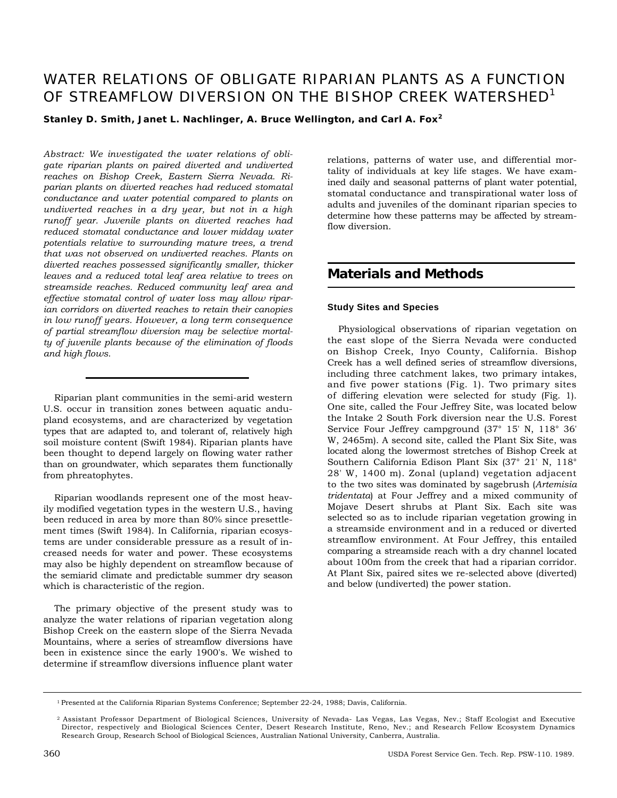# WATER RELATIONS OF OBLIGATE RIPARIAN PLANTS AS A FUNCTION OF STREAMFLOW DIVERSION ON THE BISHOP CREEK WATERSHED<sup>1</sup>

**Stanley D. Smith, Janet L. Nachlinger, A. Bruce Wellington, and Carl A. Fox<sup>2</sup>**

*Abstract: We investigated the water relations of obligate riparian plants on paired diverted and undiverted reaches on Bishop Creek, Eastern Sierra Nevada. Riparian plants on diverted reaches had reduced stomatal conductance and water potential compared to plants on undiverted reaches in a dry year, but not in a high runoff year. Juvenile plants on diverted reaches had reduced stomatal conductance and lower midday water potentials relative to surrounding mature trees, a trend that was not observed on undiverted reaches. Plants on diverted reaches possessed significantly smaller, thicker leaves and a reduced total leaf area relative to trees on streamside reaches. Reduced community leaf area and effective stomatal control of water loss may allow riparian corridors on diverted reaches to retain their canopies in low runoff years. However, a long term consequence of partial streamflow diversion may be selective mortalty of juvenile plants because of the elimination of floods and high flows.* 

Riparian plant communities in the semi-arid western U.S. occur in transition zones between aquatic andupland ecosystems, and are characterized by vegetation types that are adapted to, and tolerant of, relatively high soil moisture content (Swift 1984). Riparian plants have been thought to depend largely on flowing water rather than on groundwater, which separates them functionally from phreatophytes.

Riparian woodlands represent one of the most heavily modified vegetation types in the western U.S., having been reduced in area by more than 80% since presettlement times (Swift 1984). In California, riparian ecosystems are under considerable pressure as a result of increased needs for water and power. These ecosystems may also be highly dependent on streamflow because of the semiarid climate and predictable summer dry season which is characteristic of the region.

The primary objective of the present study was to analyze the water relations of riparian vegetation along Bishop Creek on the eastern slope of the Sierra Nevada Mountains, where a series of streamflow diversions have been in existence since the early 1900's. We wished to determine if streamflow diversions influence plant water

relations, patterns of water use, and differential mortality of individuals at key life stages. We have examined daily and seasonal patterns of plant water potential, stomatal conductance and transpirational water loss of adults and juveniles of the dominant riparian species to determine how these patterns may be affected by streamflow diversion.

# **Materials and Methods**

#### **Study Sites and Species**

Physiological observations of riparian vegetation on the east slope of the Sierra Nevada were conducted on Bishop Creek, Inyo County, California. Bishop Creek has a well defined series of streamflow diversions, including three catchment lakes, two primary intakes, and five power stations (Fig. 1). Two primary sites of differing elevation were selected for study (Fig. 1). One site, called the Four Jeffrey Site, was located below the Intake 2 South Fork diversion near the U.S. Forest Service Four Jeffrey campground (37° 15' N, 118° 36' W, 2465m). A second site, called the Plant Six Site, was located along the lowermost stretches of Bishop Creek at Southern California Edison Plant Six (37° 21' N, 118° 28' W, 1400 m). Zonal (upland) vegetation adjacent to the two sites was dominated by sagebrush (*Artemisia tridentata*) at Four Jeffrey and a mixed community of Mojave Desert shrubs at Plant Six. Each site was selected so as to include riparian vegetation growing in a streamside environment and in a reduced or diverted streamflow environment. At Four Jeffrey, this entailed comparing a streamside reach with a dry channel located about 100m from the creek that had a riparian corridor. At Plant Six, paired sites we re-selected above (diverted) and below (undiverted) the power station.

<sup>1</sup> Presented at the California Riparian Systems Conference; September 22-24, 1988; Davis, California.

<sup>2</sup> Assistant Professor Department of Biological Sciences, University of Nevada- Las Vegas, Las Vegas, Nev.; Staff Ecologist and Executive Director, respectively and Biological Sciences Center, Desert Research Institute, Reno, Nev.; and Research Fellow Ecosystem Dynamics Research Group, Research School of Biological Sciences, Australian National University, Canberra, Australia.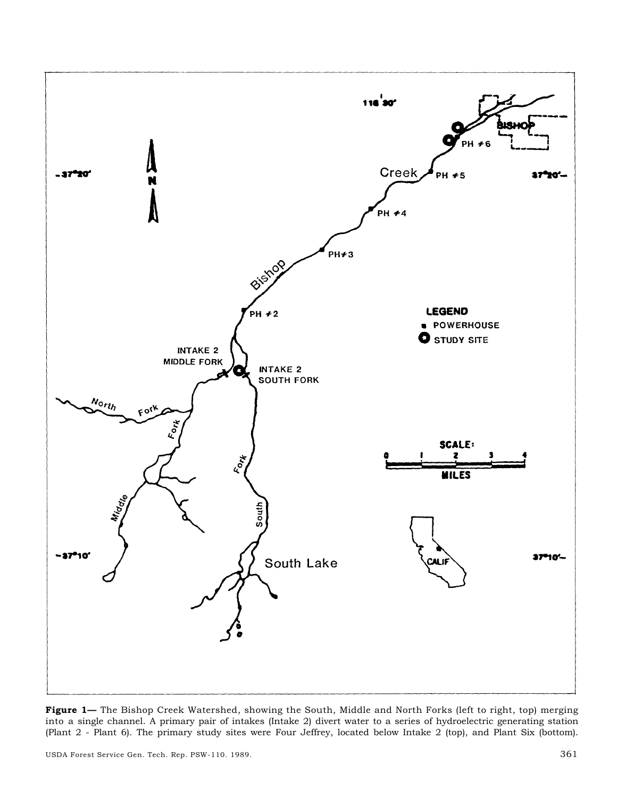

**Figure 1—** The Bishop Creek Watershed, showing the South, Middle and North Forks (left to right, top) merging into a single channel. A primary pair of intakes (Intake 2) divert water to a series of hydroelectric generating station (Plant 2 - Plant 6). The primary study sites were Four Jeffrey, located below Intake 2 (top), and Plant Six (bottom).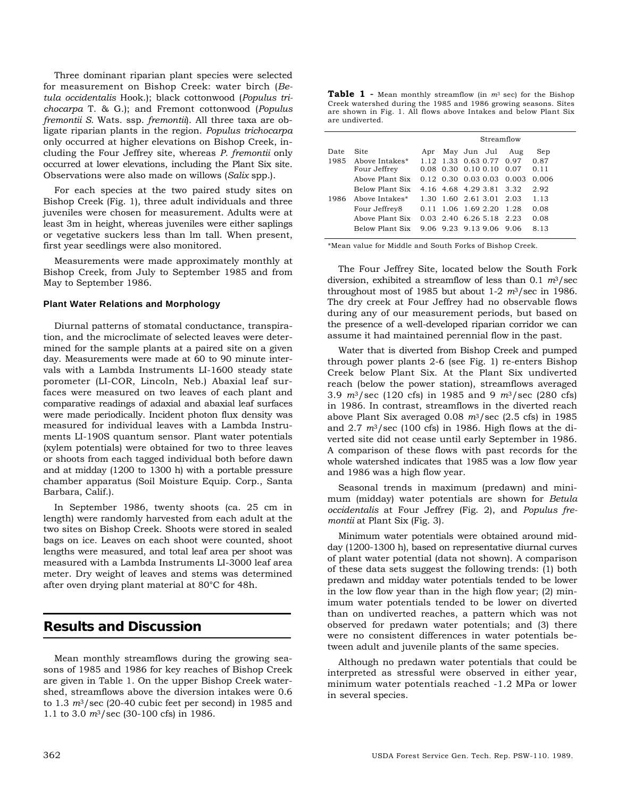Three dominant riparian plant species were selected for measurement on Bishop Creek: water birch (*Betula occidentalis* Hook.); black cottonwood (*Populus trichocarpa* T. & G.); and Fremont cottonwood (*Populus fremontii S.* Wats. ssp. *fremontii*). All three taxa are obligate riparian plants in the region. *Populus trichocarpa*  only occurred at higher elevations on Bishop Creek, including the Four Jeffrey site, whereas *P. fremontii* only occurred at lower elevations, including the Plant Six site. Observations were also made on willows (*Salix* spp.).

For each species at the two paired study sites on Bishop Creek (Fig. 1), three adult individuals and three juveniles were chosen for measurement. Adults were at least 3m in height, whereas juveniles were either saplings or vegetative suckers less than lm tall. When present, first year seedlings were also monitored.

Measurements were made approximately monthly at Bishop Creek, from July to September 1985 and from May to September 1986.

#### **Plant Water Relations and Morphology**

Diurnal patterns of stomatal conductance, transpiration, and the microclimate of selected leaves were determined for the sample plants at a paired site on a given day. Measurements were made at 60 to 90 minute intervals with a Lambda Instruments LI-1600 steady state porometer (LI-COR, Lincoln, Neb.) Abaxial leaf surfaces were measured on two leaves of each plant and comparative readings of adaxial and abaxial leaf surfaces were made periodically. Incident photon flux density was measured for individual leaves with a Lambda Instruments LI-190S quantum sensor. Plant water potentials (xylem potentials) were obtained for two to three leaves or shoots from each tagged individual both before dawn and at midday (1200 to 1300 h) with a portable pressure chamber apparatus (Soil Moisture Equip. Corp., Santa Barbara, Calif.).

In September 1986, twenty shoots (ca. 25 cm in length) were randomly harvested from each adult at the two sites on Bishop Creek. Shoots were stored in sealed bags on ice. Leaves on each shoot were counted, shoot lengths were measured, and total leaf area per shoot was measured with a Lambda Instruments LI-3000 leaf area meter. Dry weight of leaves and stems was determined after oven drying plant material at 80°C for 48h.

### **Results and Discussion**

Mean monthly streamflows during the growing seasons of 1985 and 1986 for key reaches of Bishop Creek are given in Table 1. On the upper Bishop Creek watershed, streamflows above the diversion intakes were 0.6 to 1.3 *m*3/sec (20-40 cubic feet per second) in 1985 and 1.1 to 3.0 *m*3/sec (30-100 cfs) in 1986.

| <b>Table 1</b> - Mean monthly streamflow (in $m^3$ sec) for the Bishop |
|------------------------------------------------------------------------|
| Creek watershed during the 1985 and 1986 growing seasons. Sites        |
| are shown in Fig. 1. All flows above Intakes and below Plant Six       |
| are undiverted.                                                        |

|       | Streamflow |                                         |             |      |                 |      |
|-------|------------|-----------------------------------------|-------------|------|-----------------|------|
| Sep   | Aug        | May Jun Jul                             |             | Apr  | Site            | Date |
| 0.87  | 0.97       | 1.12 1.33 0.63 0.77                     |             |      | Above Intakes*  | 1985 |
| 0.11  | 0.07       | 0.10 0.10                               | $0.08$ 0.30 |      | Four Jeffrey    |      |
| 0.006 | 0.003      | $0.12 \quad 0.30 \quad 0.03 \quad 0.03$ |             |      | Aboye Plant Six |      |
| 2.92  | 3.32       | 4.16 4.68 4.29 3.81                     |             |      | Below Plant Six |      |
| 1.13  | -2.03      | 1.30 1.60 2.61 3.01                     |             |      | Above Intakes*  | 1986 |
| 0.08  | 1.28       | 1.06 1.69 2.20                          |             | 0.11 | Four Jeffrey8   |      |
| 0.08  | -2.23      | $0.03$ 2.40 6.26 5.18                   |             |      | Aboye Plant Six |      |
| 8.13  | 9.06       | 906923913906                            |             |      | Below Plant Six |      |
|       |            |                                         |             |      |                 |      |

\*Mean value for Middle and South Forks of Bishop Creek.

The Four Jeffrey Site, located below the South Fork diversion, exhibited a streamflow of less than 0.1 *m*3/sec throughout most of 1985 but about 1-2 *m*3/sec in 1986. The dry creek at Four Jeffrey had no observable flows during any of our measurement periods, but based on the presence of a well-developed riparian corridor we can assume it had maintained perennial flow in the past.

Water that is diverted from Bishop Creek and pumped through power plants 2-6 (see Fig. 1) re-enters Bishop Creek below Plant Six. At the Plant Six undiverted reach (below the power station), streamflows averaged 3.9 *m*3/sec (120 cfs) in 1985 and 9 *m*3/sec (280 cfs) in 1986. In contrast, streamflows in the diverted reach above Plant Six averaged 0.08 *m*3/sec (2.5 cfs) in 1985 and 2.7 *m*3/sec (100 cfs) in 1986. High flows at the diverted site did not cease until early September in 1986. A comparison of these flows with past records for the whole watershed indicates that 1985 was a low flow year and 1986 was a high flow year.

Seasonal trends in maximum (predawn) and minimum (midday) water potentials are shown for *Betula occidentalis* at Four Jeffrey (Fig. 2), and *Populus fremontii* at Plant Six (Fig. 3).

Minimum water potentials were obtained around midday (1200-1300 h), based on representative diurnal curves of plant water potential (data not shown). A comparison of these data sets suggest the following trends: (1) both predawn and midday water potentials tended to be lower in the low flow year than in the high flow year; (2) minimum water potentials tended to be lower on diverted than on undiverted reaches, a pattern which was not observed for predawn water potentials; and (3) there were no consistent differences in water potentials between adult and juvenile plants of the same species.

Although no predawn water potentials that could be interpreted as stressful were observed in either year, minimum water potentials reached -1.2 MPa or lower in several species.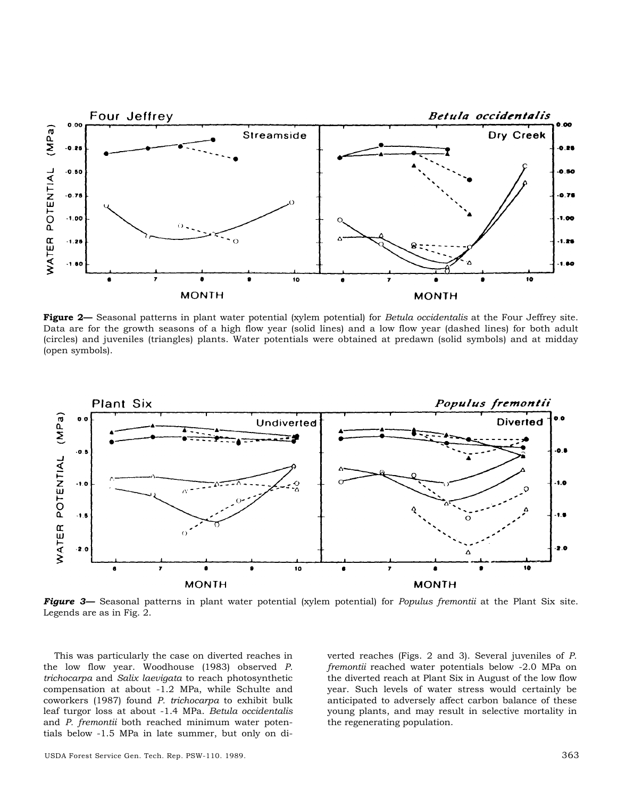

**Figure 2—** Seasonal patterns in plant water potential (xylem potential) for *Betula occidentalis* at the Four Jeffrey site. Data are for the growth seasons of a high flow year (solid lines) and a low flow year (dashed lines) for both adult (circles) and juveniles (triangles) plants. Water potentials were obtained at predawn (solid symbols) and at midday (open symbols).



*Figure 3—* Seasonal patterns in plant water potential (xylem potential) for *Populus fremontii* at the Plant Six site. Legends are as in Fig. 2.

This was particularly the case on diverted reaches in the low flow year. Woodhouse (1983) observed *P. trichocarpa* and *Salix laevigata* to reach photosynthetic compensation at about -1.2 MPa, while Schulte and coworkers (1987) found *P. trichocarpa* to exhibit bulk leaf turgor loss at about -1.4 MPa. *Betula occidentalis*  and *P. fremontii* both reached minimum water potentials below -1.5 MPa in late summer, but only on diverted reaches (Figs. 2 and 3). Several juveniles of *P. fremontii* reached water potentials below -2.0 MPa on the diverted reach at Plant Six in August of the low flow year. Such levels of water stress would certainly be anticipated to adversely affect carbon balance of these young plants, and may result in selective mortality in the regenerating population.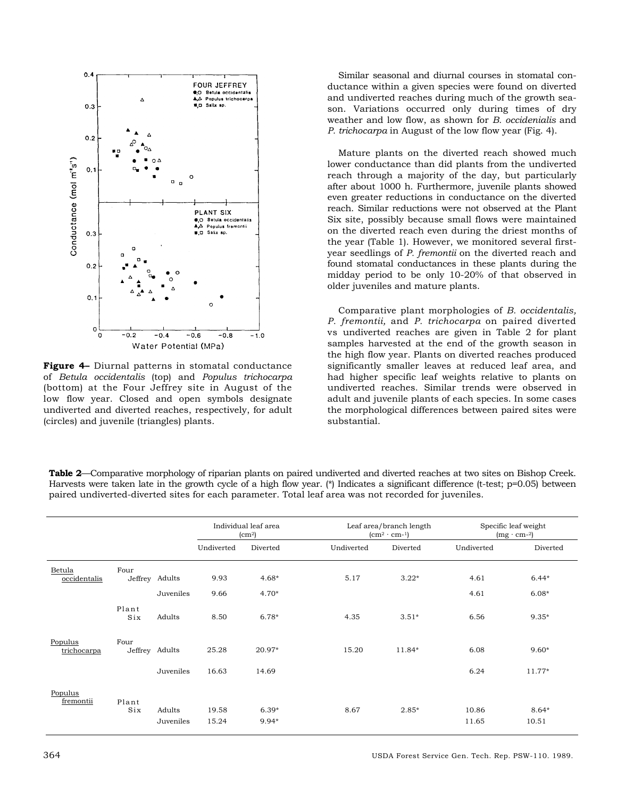

**Figure 4–** Diurnal patterns in stomatal conductance of *Betula occidentalis* (top) and *Populus trichocarpa*  (bottom) at the Four Jeffrey site in August of the low flow year. Closed and open symbols designate undiverted and diverted reaches, respectively, for adult (circles) and juvenile (triangles) plants.

Similar seasonal and diurnal courses in stomatal conductance within a given species were found on diverted and undiverted reaches during much of the growth season. Variations occurred only during times of dry weather and low flow, as shown for *B. occidenialis* and *P. trichocarpa* in August of the low flow year (Fig. 4).

Mature plants on the diverted reach showed much lower conductance than did plants from the undiverted reach through a majority of the day, but particularly after about 1000 h. Furthermore, juvenile plants showed even greater reductions in conductance on the diverted reach. Similar reductions were not observed at the Plant Six site, possibly because small flows were maintained on the diverted reach even during the driest months of the year (Table 1). However, we monitored several firstyear seedlings of *P. fremontii* on the diverted reach and found stomatal conductances in these plants during the midday period to be only 10-20% of that observed in older juveniles and mature plants.

Comparative plant morphologies of *B. occidentalis, P. fremontii,* and *P. trichocarpa* on paired diverted vs undiverted reaches are given in Table 2 for plant samples harvested at the end of the growth season in the high flow year. Plants on diverted reaches produced significantly smaller leaves at reduced leaf area, and had higher specific leaf weights relative to plants on undiverted reaches. Similar trends were observed in adult and juvenile plants of each species. In some cases the morphological differences between paired sites were substantial.

**Table 2**—Comparative morphology of riparian plants on paired undiverted and diverted reaches at two sites on Bishop Creek. Harvests were taken late in the growth cycle of a high flow year. (\*) Indicates a significant difference (t-test; p=0.05) between paired undiverted-diverted sites for each parameter. Total leaf area was not recorded for juveniles.

|                        |              |                     | Individual leaf area<br>(cm <sup>2</sup> ) |                  |            | Leaf area/branch length<br>$(cm2 · cm-1)$ |                | Specific leaf weight<br>$(mg \cdot cm^{-2})$ |  |
|------------------------|--------------|---------------------|--------------------------------------------|------------------|------------|-------------------------------------------|----------------|----------------------------------------------|--|
|                        |              |                     | Undiverted                                 | Diverted         | Undiverted | Diverted                                  | Undiverted     | Diverted                                     |  |
| Betula<br>occidentalis | Four         | Jeffrey Adults      | 9.93                                       | $4.68*$          | 5.17       | $3.22*$                                   | 4.61           | $6.44*$                                      |  |
|                        |              | Juveniles           | 9.66                                       | $4.70*$          |            |                                           | 4.61           | $6.08*$                                      |  |
|                        | Plant<br>Six | Adults              | 8.50                                       | $6.78*$          | 4.35       | $3.51*$                                   | 6.56           | $9.35*$                                      |  |
| Populus<br>trichocarpa | Four         | Jeffrey Adults      | 25.28                                      | 20.97*           | 15.20      | 11.84*                                    | 6.08           | $9.60*$                                      |  |
|                        |              | Juveniles           | 16.63                                      | 14.69            |            |                                           | 6.24           | $11.77*$                                     |  |
| Populus<br>fremontii   | Plant        |                     |                                            |                  |            |                                           |                |                                              |  |
|                        | Six          | Adults<br>Juveniles | 19.58<br>15.24                             | $6.39*$<br>9.94* | 8.67       | 2.85*                                     | 10.86<br>11.65 | $8.64*$<br>10.51                             |  |